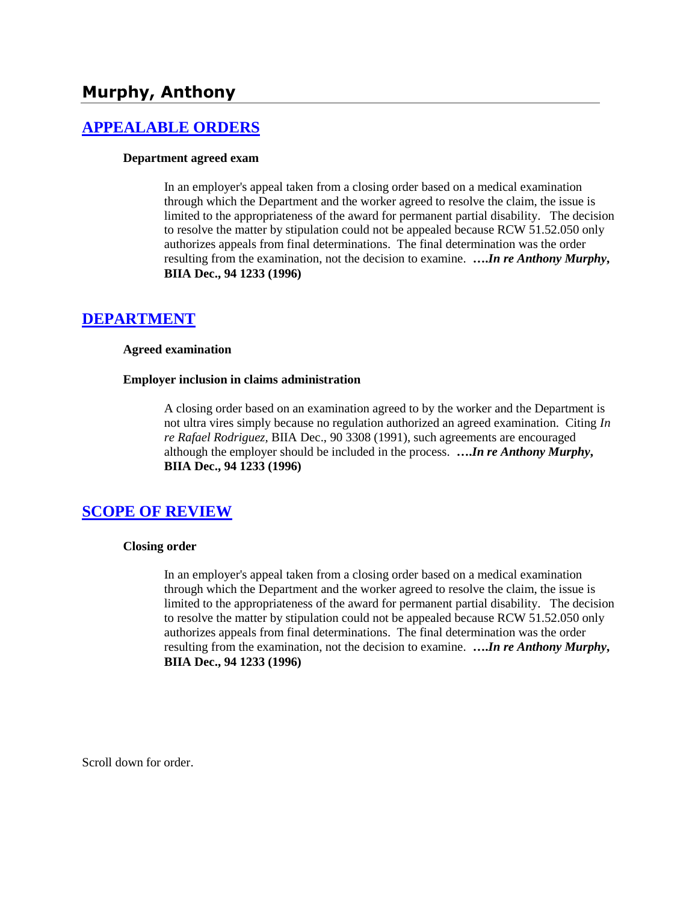# **Murphy, Anthony**

### **[APPEALABLE ORDERS](http://www.biia.wa.gov/SDSubjectIndex.html#APPEALABLE_ORDERS)**

#### **Department agreed exam**

In an employer's appeal taken from a closing order based on a medical examination through which the Department and the worker agreed to resolve the claim, the issue is limited to the appropriateness of the award for permanent partial disability. The decision to resolve the matter by stipulation could not be appealed because RCW 51.52.050 only authorizes appeals from final determinations. The final determination was the order resulting from the examination, not the decision to examine. **….***In re Anthony Murphy***, BIIA Dec., 94 1233 (1996)**

### **[DEPARTMENT](http://www.biia.wa.gov/SDSubjectIndex.html#DEPARTMENT)**

#### **Agreed examination**

#### **Employer inclusion in claims administration**

A closing order based on an examination agreed to by the worker and the Department is not ultra vires simply because no regulation authorized an agreed examination. Citing *In re Rafael Rodriguez,* BIIA Dec., 90 3308 (1991), such agreements are encouraged although the employer should be included in the process. **….***In re Anthony Murphy***, BIIA Dec., 94 1233 (1996)** 

### **[SCOPE OF REVIEW](http://www.biia.wa.gov/SDSubjectIndex.html#SCOPE_OF_REVIEW)**

#### **Closing order**

In an employer's appeal taken from a closing order based on a medical examination through which the Department and the worker agreed to resolve the claim, the issue is limited to the appropriateness of the award for permanent partial disability. The decision to resolve the matter by stipulation could not be appealed because RCW 51.52.050 only authorizes appeals from final determinations. The final determination was the order resulting from the examination, not the decision to examine. **….***In re Anthony Murphy***, BIIA Dec., 94 1233 (1996)**

Scroll down for order.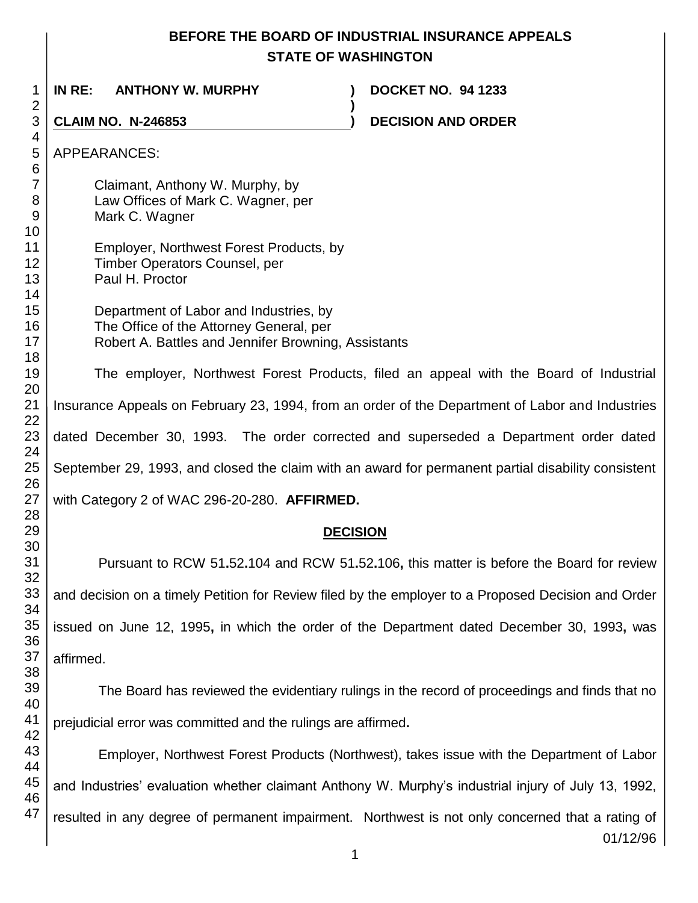## **BEFORE THE BOARD OF INDUSTRIAL INSURANCE APPEALS STATE OF WASHINGTON**

 **IN RE: ANTHONY W. MURPHY ) DOCKET NO. 94 1233 ) CLAIM NO. N-246853 ) DECISION AND ORDER**  APPEARANCES: Claimant, Anthony W. Murphy, by Law Offices of Mark C. Wagner, per Mark C. Wagner Employer, Northwest Forest Products, by Timber Operators Counsel, per Paul H. Proctor Department of Labor and Industries, by The Office of the Attorney General, per Robert A. Battles and Jennifer Browning, Assistants The employer, Northwest Forest Products, filed an appeal with the Board of Industrial Insurance Appeals on February 23, 1994, from an order of the Department of Labor and Industries dated December 30, 1993. The order corrected and superseded a Department order dated September 29, 1993, and closed the claim with an award for permanent partial disability consistent with Category 2 of WAC 296-20-280. **AFFIRMED. DECISION** Pursuant to RCW 51**.**52**.**104 and RCW 51**.**52**.**106**,** this matter is before the Board for review and decision on a timely Petition for Review filed by the employer to a Proposed Decision and Order

issued on June 12, 1995**,** in which the order of the Department dated December 30, 1993**,** was affirmed.

The Board has reviewed the evidentiary rulings in the record of proceedings and finds that no prejudicial error was committed and the rulings are affirmed**.**

Employer, Northwest Forest Products (Northwest), takes issue with the Department of Labor and Industries' evaluation whether claimant Anthony W. Murphy's industrial injury of July 13, 1992, resulted in any degree of permanent impairment. Northwest is not only concerned that a rating of

01/12/96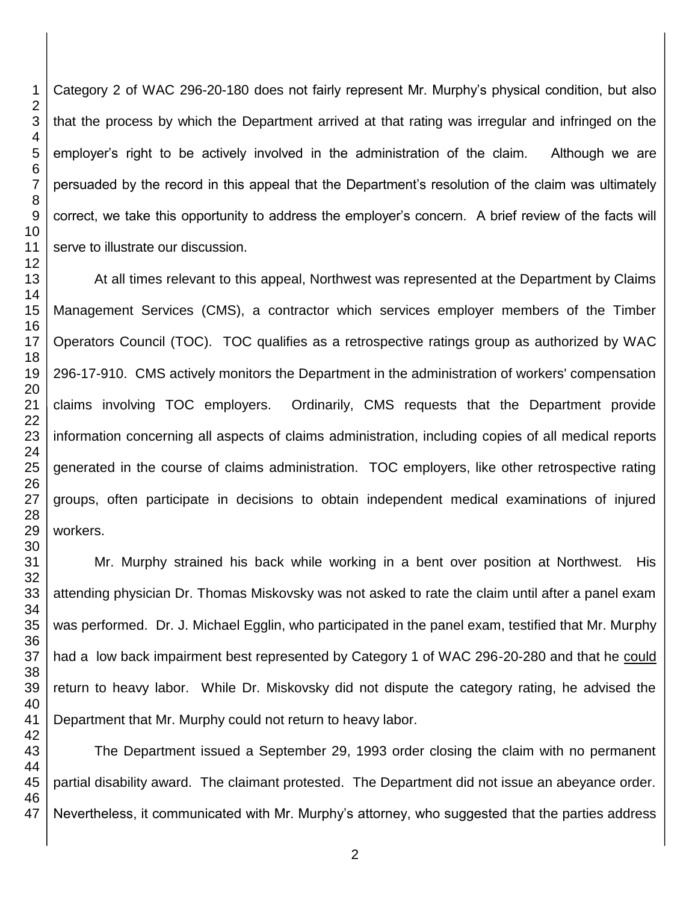Category 2 of WAC 296-20-180 does not fairly represent Mr. Murphy's physical condition, but also that the process by which the Department arrived at that rating was irregular and infringed on the employer's right to be actively involved in the administration of the claim. Although we are persuaded by the record in this appeal that the Department's resolution of the claim was ultimately correct, we take this opportunity to address the employer's concern. A brief review of the facts will serve to illustrate our discussion.

At all times relevant to this appeal, Northwest was represented at the Department by Claims Management Services (CMS), a contractor which services employer members of the Timber Operators Council (TOC). TOC qualifies as a retrospective ratings group as authorized by WAC 296-17-910. CMS actively monitors the Department in the administration of workers' compensation claims involving TOC employers. Ordinarily, CMS requests that the Department provide information concerning all aspects of claims administration, including copies of all medical reports generated in the course of claims administration. TOC employers, like other retrospective rating groups, often participate in decisions to obtain independent medical examinations of injured workers.

Mr. Murphy strained his back while working in a bent over position at Northwest. His attending physician Dr. Thomas Miskovsky was not asked to rate the claim until after a panel exam was performed. Dr. J. Michael Egglin, who participated in the panel exam, testified that Mr. Murphy had a low back impairment best represented by Category 1 of WAC 296-20-280 and that he could return to heavy labor. While Dr. Miskovsky did not dispute the category rating, he advised the Department that Mr. Murphy could not return to heavy labor.

The Department issued a September 29, 1993 order closing the claim with no permanent partial disability award. The claimant protested. The Department did not issue an abeyance order. Nevertheless, it communicated with Mr. Murphy's attorney, who suggested that the parties address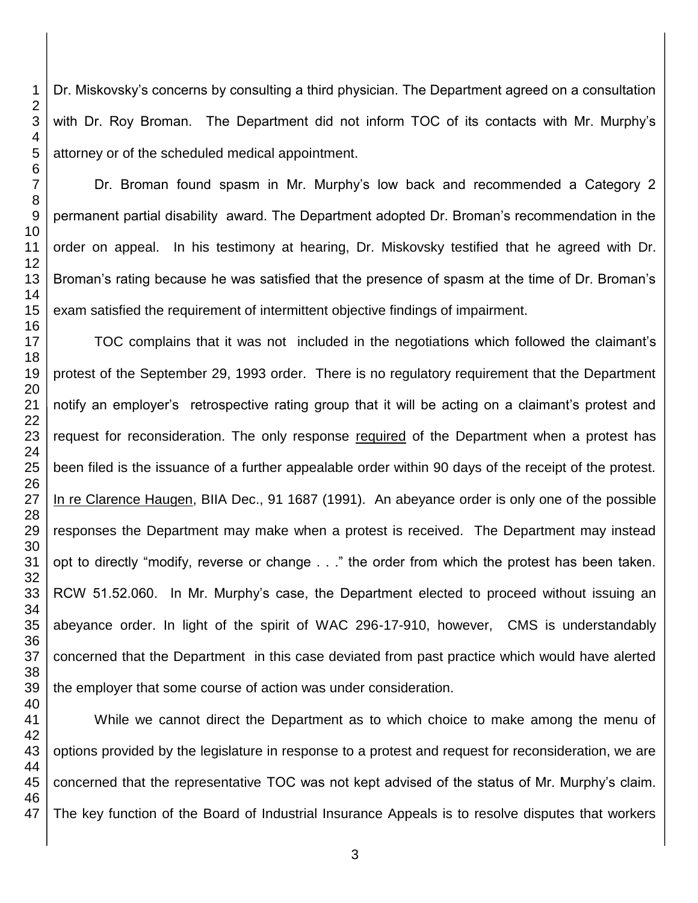Dr. Miskovsky's concerns by consulting a third physician. The Department agreed on a consultation with Dr. Roy Broman. The Department did not inform TOC of its contacts with Mr. Murphy's attorney or of the scheduled medical appointment.

Dr. Broman found spasm in Mr. Murphy's low back and recommended a Category 2 permanent partial disability award. The Department adopted Dr. Broman's recommendation in the order on appeal. In his testimony at hearing, Dr. Miskovsky testified that he agreed with Dr. Broman's rating because he was satisfied that the presence of spasm at the time of Dr. Broman's exam satisfied the requirement of intermittent objective findings of impairment.

TOC complains that it was not included in the negotiations which followed the claimant's protest of the September 29, 1993 order. There is no regulatory requirement that the Department notify an employer's retrospective rating group that it will be acting on a claimant's protest and request for reconsideration. The only response required of the Department when a protest has been filed is the issuance of a further appealable order within 90 days of the receipt of the protest. In re Clarence Haugen, BIIA Dec., 91 1687 (1991). An abeyance order is only one of the possible responses the Department may make when a protest is received. The Department may instead opt to directly "modify, reverse or change . . ." the order from which the protest has been taken. RCW 51.52.060. In Mr. Murphy's case, the Department elected to proceed without issuing an abeyance order. In light of the spirit of WAC 296-17-910, however, CMS is understandably concerned that the Department in this case deviated from past practice which would have alerted the employer that some course of action was under consideration.

While we cannot direct the Department as to which choice to make among the menu of options provided by the legislature in response to a protest and request for reconsideration, we are concerned that the representative TOC was not kept advised of the status of Mr. Murphy's claim. The key function of the Board of Industrial Insurance Appeals is to resolve disputes that workers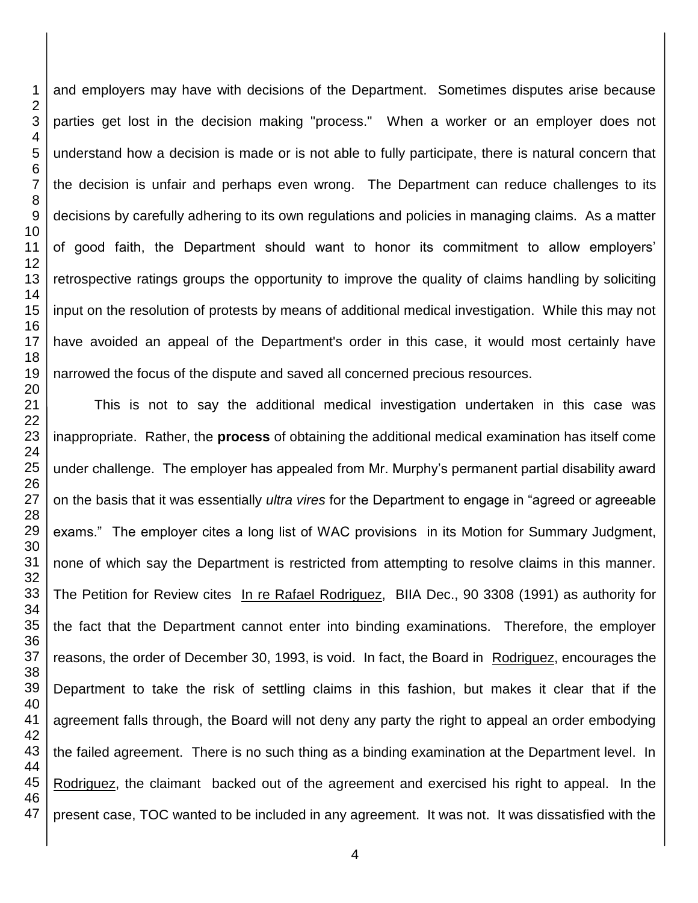and employers may have with decisions of the Department. Sometimes disputes arise because parties get lost in the decision making "process." When a worker or an employer does not understand how a decision is made or is not able to fully participate, there is natural concern that the decision is unfair and perhaps even wrong. The Department can reduce challenges to its decisions by carefully adhering to its own regulations and policies in managing claims. As a matter of good faith, the Department should want to honor its commitment to allow employers' retrospective ratings groups the opportunity to improve the quality of claims handling by soliciting input on the resolution of protests by means of additional medical investigation. While this may not have avoided an appeal of the Department's order in this case, it would most certainly have narrowed the focus of the dispute and saved all concerned precious resources.

 This is not to say the additional medical investigation undertaken in this case was inappropriate. Rather, the **process** of obtaining the additional medical examination has itself come under challenge. The employer has appealed from Mr. Murphy's permanent partial disability award on the basis that it was essentially *ultra vires* for the Department to engage in "agreed or agreeable exams." The employer cites a long list of WAC provisions in its Motion for Summary Judgment, none of which say the Department is restricted from attempting to resolve claims in this manner. The Petition for Review cites In re Rafael Rodriguez, BIIA Dec., 90 3308 (1991) as authority for the fact that the Department cannot enter into binding examinations. Therefore, the employer reasons, the order of December 30, 1993, is void. In fact, the Board in Rodriguez, encourages the Department to take the risk of settling claims in this fashion, but makes it clear that if the agreement falls through, the Board will not deny any party the right to appeal an order embodying the failed agreement. There is no such thing as a binding examination at the Department level. In Rodriguez, the claimant backed out of the agreement and exercised his right to appeal. In the present case, TOC wanted to be included in any agreement. It was not. It was dissatisfied with the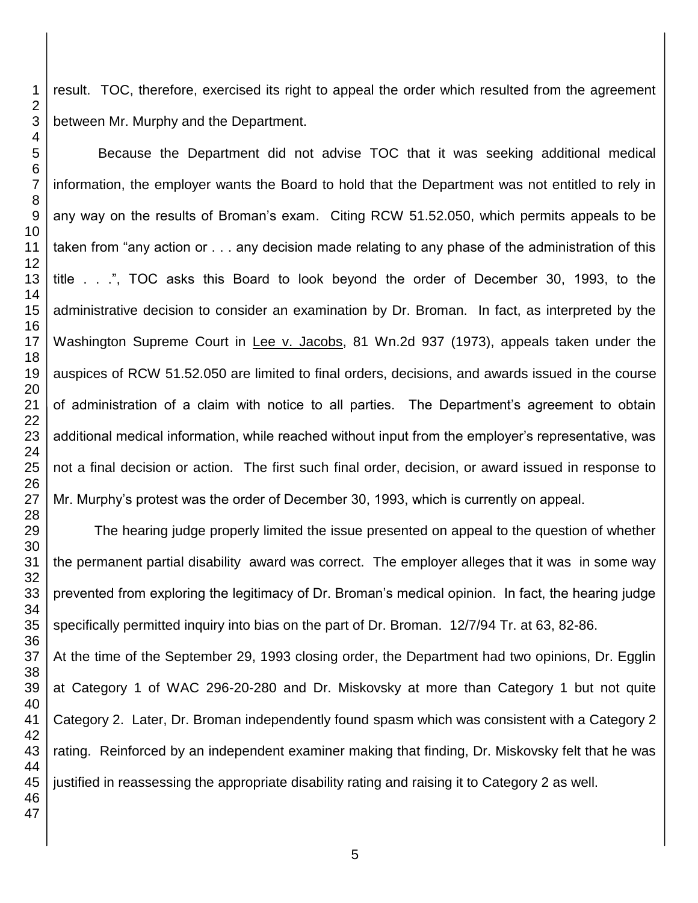result. TOC, therefore, exercised its right to appeal the order which resulted from the agreement between Mr. Murphy and the Department.

Because the Department did not advise TOC that it was seeking additional medical information, the employer wants the Board to hold that the Department was not entitled to rely in any way on the results of Broman's exam. Citing RCW 51.52.050, which permits appeals to be taken from "any action or . . . any decision made relating to any phase of the administration of this title . . .", TOC asks this Board to look beyond the order of December 30, 1993, to the administrative decision to consider an examination by Dr. Broman. In fact, as interpreted by the Washington Supreme Court in Lee v. Jacobs, 81 Wn.2d 937 (1973), appeals taken under the auspices of RCW 51.52.050 are limited to final orders, decisions, and awards issued in the course of administration of a claim with notice to all parties. The Department's agreement to obtain additional medical information, while reached without input from the employer's representative, was not a final decision or action. The first such final order, decision, or award issued in response to Mr. Murphy's protest was the order of December 30, 1993, which is currently on appeal.

The hearing judge properly limited the issue presented on appeal to the question of whether the permanent partial disability award was correct. The employer alleges that it was in some way prevented from exploring the legitimacy of Dr. Broman's medical opinion. In fact, the hearing judge specifically permitted inquiry into bias on the part of Dr. Broman. 12/7/94 Tr. at 63, 82-86. At the time of the September 29, 1993 closing order, the Department had two opinions, Dr. Egglin at Category 1 of WAC 296-20-280 and Dr. Miskovsky at more than Category 1 but not quite Category 2. Later, Dr. Broman independently found spasm which was consistent with a Category 2 rating. Reinforced by an independent examiner making that finding, Dr. Miskovsky felt that he was justified in reassessing the appropriate disability rating and raising it to Category 2 as well.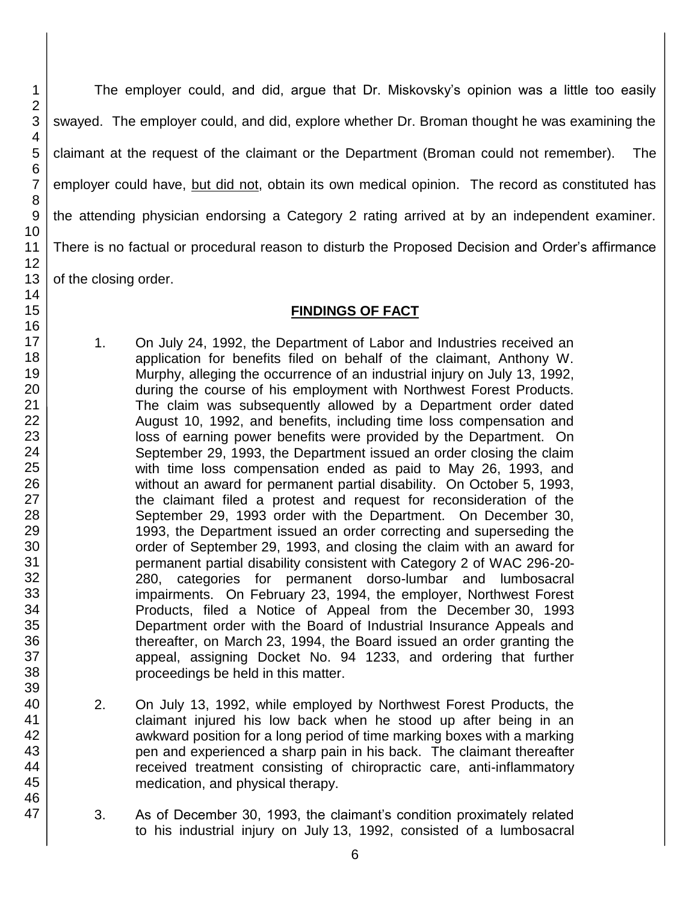The employer could, and did, argue that Dr. Miskovsky's opinion was a little too easily swayed. The employer could, and did, explore whether Dr. Broman thought he was examining the claimant at the request of the claimant or the Department (Broman could not remember). The employer could have, but did not, obtain its own medical opinion. The record as constituted has the attending physician endorsing a Category 2 rating arrived at by an independent examiner. There is no factual or procedural reason to disturb the Proposed Decision and Order's affirmance of the closing order.

## **FINDINGS OF FACT**

- 1. On July 24, 1992, the Department of Labor and Industries received an application for benefits filed on behalf of the claimant, Anthony W. Murphy, alleging the occurrence of an industrial injury on July 13, 1992, during the course of his employment with Northwest Forest Products. The claim was subsequently allowed by a Department order dated August 10, 1992, and benefits, including time loss compensation and loss of earning power benefits were provided by the Department. On September 29, 1993, the Department issued an order closing the claim with time loss compensation ended as paid to May 26, 1993, and without an award for permanent partial disability. On October 5, 1993, the claimant filed a protest and request for reconsideration of the September 29, 1993 order with the Department. On December 30, 1993, the Department issued an order correcting and superseding the order of September 29, 1993, and closing the claim with an award for permanent partial disability consistent with Category 2 of WAC 296-20- 280, categories for permanent dorso-lumbar and lumbosacral impairments. On February 23, 1994, the employer, Northwest Forest Products, filed a Notice of Appeal from the December 30, 1993 Department order with the Board of Industrial Insurance Appeals and thereafter, on March 23, 1994, the Board issued an order granting the appeal, assigning Docket No. 94 1233, and ordering that further proceedings be held in this matter.
	- 2. On July 13, 1992, while employed by Northwest Forest Products, the claimant injured his low back when he stood up after being in an awkward position for a long period of time marking boxes with a marking pen and experienced a sharp pain in his back. The claimant thereafter received treatment consisting of chiropractic care, anti-inflammatory medication, and physical therapy.
	- 3. As of December 30, 1993, the claimant's condition proximately related to his industrial injury on July 13, 1992, consisted of a lumbosacral

6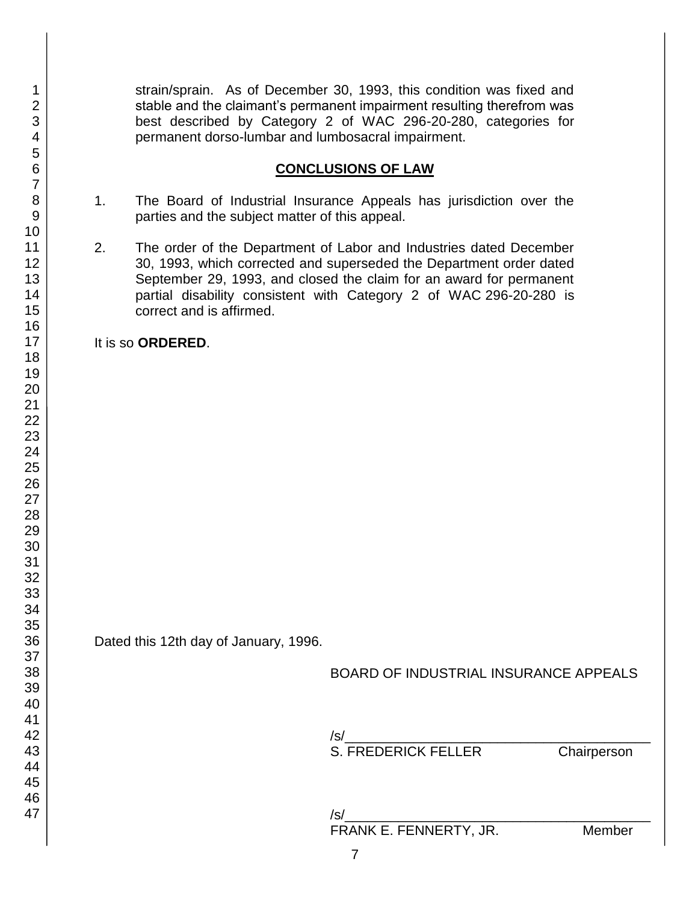strain/sprain. As of December 30, 1993, this condition was fixed and stable and the claimant's permanent impairment resulting therefrom was best described by Category 2 of WAC 296-20-280, categories for permanent dorso-lumbar and lumbosacral impairment.

### **CONCLUSIONS OF LAW**

- 1. The Board of Industrial Insurance Appeals has jurisdiction over the parties and the subject matter of this appeal.
- 2. The order of the Department of Labor and Industries dated December 30, 1993, which corrected and superseded the Department order dated September 29, 1993, and closed the claim for an award for permanent partial disability consistent with Category 2 of WAC 296-20-280 is correct and is affirmed.

It is so **ORDERED**.

Dated this 12th day of January, 1996.

BOARD OF INDUSTRIAL INSURANCE APPEALS

 $\sqrt{s}$ / S. FREDERICK FELLER Chairperson

/s/\_\_\_\_\_\_\_\_\_\_\_\_\_\_\_\_\_\_\_\_\_\_\_\_\_\_\_\_\_\_\_\_\_\_\_\_\_\_\_\_ FRANK E. FENNERTY, JR. Member